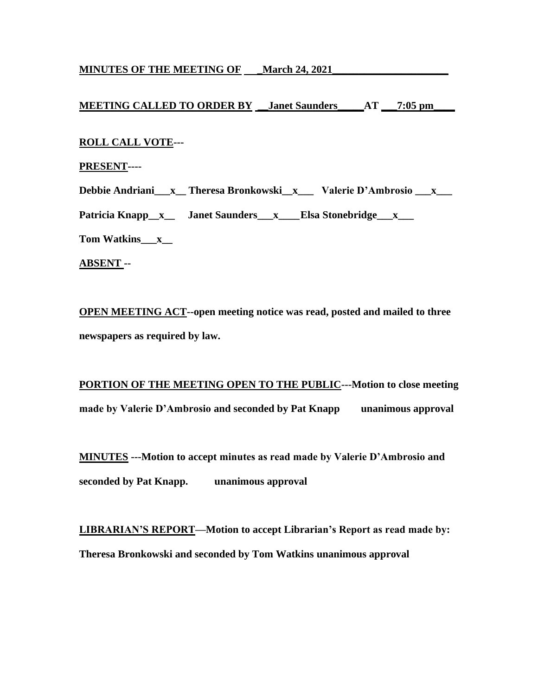## **MINUTES OF THE MEETING OF \_March 24, 2021\_\_\_\_\_\_\_\_\_\_\_\_\_\_\_\_\_\_\_\_\_\_**

# **MEETING CALLED TO ORDER BY \_\_Janet Saunders\_\_\_\_\_AT \_\_\_7:05 pm\_\_\_\_**

## **ROLL CALL VOTE---**

### **PRESENT----**

**Debbie Andriani\_\_\_x\_\_ Theresa Bronkowski\_\_x\_\_\_ Valerie D'Ambrosio \_\_\_x\_\_\_** 

Patricia Knapp\_x\_\_ Janet Saunders\_\_x\_\_\_Elsa Stonebridge\_\_x\_\_\_

**Tom Watkins\_\_\_x\_\_**

**ABSENT --** 

**OPEN MEETING ACT--open meeting notice was read, posted and mailed to three newspapers as required by law.**

**PORTION OF THE MEETING OPEN TO THE PUBLIC---Motion to close meeting made by Valerie D'Ambrosio and seconded by Pat Knapp unanimous approval**

**MINUTES ---Motion to accept minutes as read made by Valerie D'Ambrosio and seconded by Pat Knapp. unanimous approval**

**LIBRARIAN'S REPORT—Motion to accept Librarian's Report as read made by: Theresa Bronkowski and seconded by Tom Watkins unanimous approval**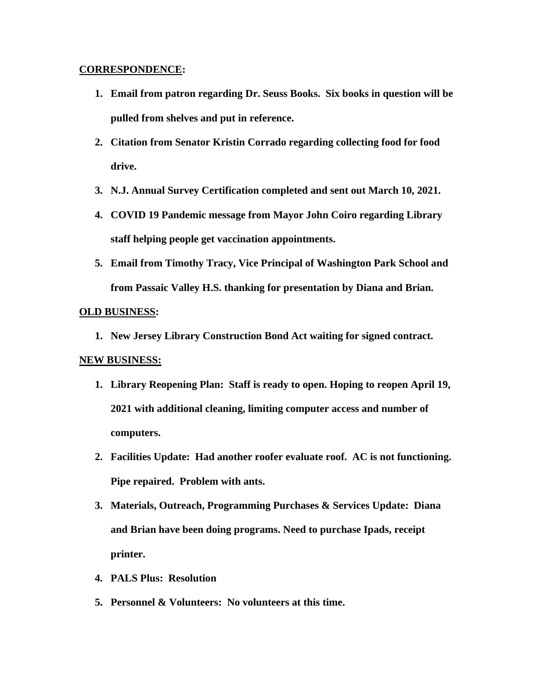## **CORRESPONDENCE:**

- **1. Email from patron regarding Dr. Seuss Books. Six books in question will be pulled from shelves and put in reference.**
- **2. Citation from Senator Kristin Corrado regarding collecting food for food drive.**
- **3. N.J. Annual Survey Certification completed and sent out March 10, 2021.**
- **4. COVID 19 Pandemic message from Mayor John Coiro regarding Library staff helping people get vaccination appointments.**
- **5. Email from Timothy Tracy, Vice Principal of Washington Park School and from Passaic Valley H.S. thanking for presentation by Diana and Brian.**

## **OLD BUSINESS:**

**1. New Jersey Library Construction Bond Act waiting for signed contract.**

## **NEW BUSINESS:**

- **1. Library Reopening Plan: Staff is ready to open. Hoping to reopen April 19, 2021 with additional cleaning, limiting computer access and number of computers.**
- **2. Facilities Update: Had another roofer evaluate roof. AC is not functioning. Pipe repaired. Problem with ants.**
- **3. Materials, Outreach, Programming Purchases & Services Update: Diana and Brian have been doing programs. Need to purchase Ipads, receipt printer.**
- **4. PALS Plus: Resolution**
- **5. Personnel & Volunteers: No volunteers at this time.**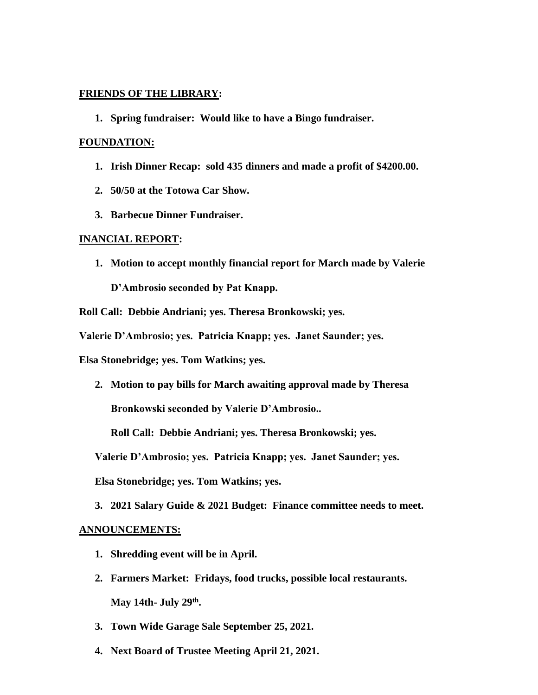## **FRIENDS OF THE LIBRARY:**

**1. Spring fundraiser: Would like to have a Bingo fundraiser.**

#### **FOUNDATION:**

- **1. Irish Dinner Recap: sold 435 dinners and made a profit of \$4200.00.**
- **2. 50/50 at the Totowa Car Show.**
- **3. Barbecue Dinner Fundraiser.**

#### **INANCIAL REPORT:**

**1. Motion to accept monthly financial report for March made by Valerie** 

**D'Ambrosio seconded by Pat Knapp.** 

**Roll Call: Debbie Andriani; yes. Theresa Bronkowski; yes.** 

**Valerie D'Ambrosio; yes. Patricia Knapp; yes. Janet Saunder; yes.** 

**Elsa Stonebridge; yes. Tom Watkins; yes.**

**2. Motion to pay bills for March awaiting approval made by Theresa** 

**Bronkowski seconded by Valerie D'Ambrosio..** 

**Roll Call: Debbie Andriani; yes. Theresa Bronkowski; yes.** 

**Valerie D'Ambrosio; yes. Patricia Knapp; yes. Janet Saunder; yes.** 

**Elsa Stonebridge; yes. Tom Watkins; yes.**

**3. 2021 Salary Guide & 2021 Budget: Finance committee needs to meet.**

#### **ANNOUNCEMENTS:**

- **1. Shredding event will be in April.**
- **2. Farmers Market: Fridays, food trucks, possible local restaurants. May 14th- July 29th .**
- **3. Town Wide Garage Sale September 25, 2021.**
- **4. Next Board of Trustee Meeting April 21, 2021.**